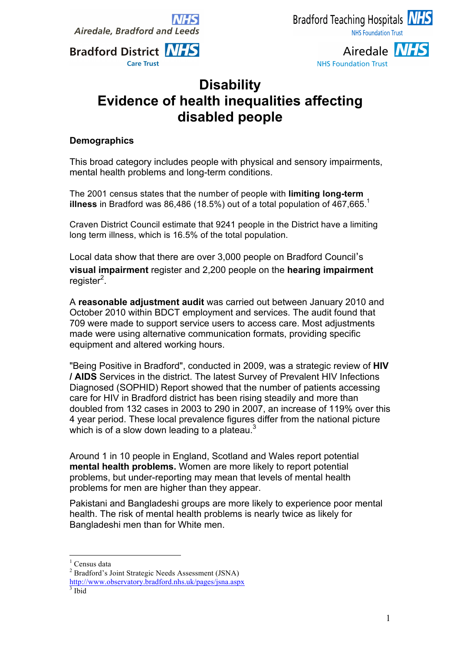

**Bradford District NHS** 

**Care Trust** 

# Airedale **NHS NHS Foundation Trust**

# **Disability Evidence of health inequalities affecting disabled people**

#### **Demographics**

This broad category includes people with physical and sensory impairments, mental health problems and long-term conditions.

The 2001 census states that the number of people with **limiting long-term illness** in Bradford was 86,486 (18.5%) out of a total population of 467,665.<sup>1</sup>

Craven District Council estimate that 9241 people in the District have a limiting long term illness, which is 16.5% of the total population.

Local data show that there are over 3,000 people on Bradford Council's **visual impairment** register and 2,200 people on the **hearing impairment**  register<sup>2</sup>.

A **reasonable adjustment audit** was carried out between January 2010 and October 2010 within BDCT employment and services. The audit found that 709 were made to support service users to access care. Most adjustments made were using alternative communication formats, providing specific equipment and altered working hours.

"Being Positive in Bradford", conducted in 2009, was a strategic review of **HIV / AIDS** Services in the district. The latest Survey of Prevalent HIV Infections Diagnosed (SOPHID) Report showed that the number of patients accessing care for HIV in Bradford district has been rising steadily and more than doubled from 132 cases in 2003 to 290 in 2007, an increase of 119% over this 4 year period. These local prevalence figures differ from the national picture which is of a slow down leading to a plateau. $3$ 

Around 1 in 10 people in England, Scotland and Wales report potential **mental health problems.** Women are more likely to report potential problems, but under-reporting may mean that levels of mental health problems for men are higher than they appear.

Pakistani and Bangladeshi groups are more likely to experience poor mental health. The risk of mental health problems is nearly twice as likely for Bangladeshi men than for White men.

Census data

<sup>2</sup> Bradford's Joint Strategic Needs Assessment (JSNA)

http://www.observatory.bradford.nhs.uk/pages/jsna.aspx <sup>3</sup> Ibid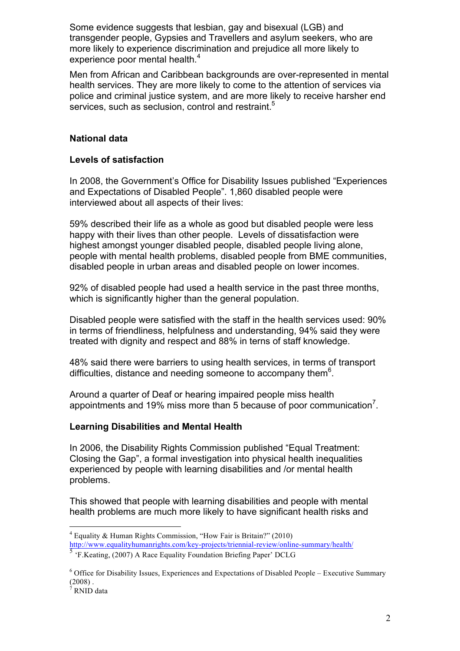Some evidence suggests that lesbian, gay and bisexual (LGB) and transgender people, Gypsies and Travellers and asylum seekers, who are more likely to experience discrimination and prejudice all more likely to experience poor mental health.<sup>4</sup>

Men from African and Caribbean backgrounds are over-represented in mental health services. They are more likely to come to the attention of services via police and criminal justice system, and are more likely to receive harsher end services, such as seclusion, control and restraint.<sup>5</sup>

### **National data**

#### **Levels of satisfaction**

In 2008, the Government's Office for Disability Issues published "Experiences and Expectations of Disabled People". 1,860 disabled people were interviewed about all aspects of their lives:

59% described their life as a whole as good but disabled people were less happy with their lives than other people. Levels of dissatisfaction were highest amongst younger disabled people, disabled people living alone, people with mental health problems, disabled people from BME communities, disabled people in urban areas and disabled people on lower incomes.

92% of disabled people had used a health service in the past three months, which is significantly higher than the general population.

Disabled people were satisfied with the staff in the health services used: 90% in terms of friendliness, helpfulness and understanding, 94% said they were treated with dignity and respect and 88% in terns of staff knowledge.

48% said there were barriers to using health services, in terms of transport difficulties, distance and needing someone to accompany them $6$ .

Around a quarter of Deaf or hearing impaired people miss health appointments and 19% miss more than 5 because of poor communication<sup>7</sup>.

#### **Learning Disabilities and Mental Health**

In 2006, the Disability Rights Commission published "Equal Treatment: Closing the Gap", a formal investigation into physical health inequalities experienced by people with learning disabilities and /or mental health problems.

This showed that people with learning disabilities and people with mental health problems are much more likely to have significant health risks and

 $4$  Equality & Human Rights Commission, "How Fair is Britain?" (2010) http://www.equalityhumanrights.com/key-projects/triennial-review/online-summary/health/

<sup>5</sup> 'F.Keating, (2007) A Race Equality Foundation Briefing Paper' DCLG

<sup>6</sup> Office for Disability Issues, Experiences and Expectations of Disabled People – Executive Summary  $(2008)$ .<br><sup>7</sup> RNID data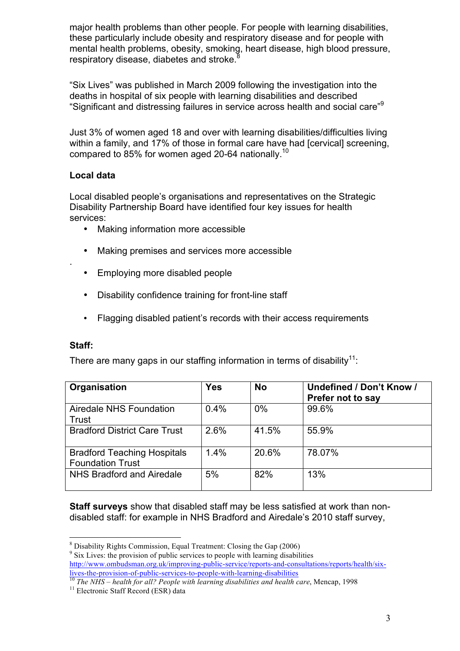major health problems than other people. For people with learning disabilities, these particularly include obesity and respiratory disease and for people with mental health problems, obesity, smoking, heart disease, high blood pressure, respiratory disease, diabetes and stroke.<sup>8</sup>

"Six Lives" was published in March 2009 following the investigation into the deaths in hospital of six people with learning disabilities and described "Significant and distressing failures in service across health and social care"<sup>9</sup>

Just 3% of women aged 18 and over with learning disabilities/difficulties living within a family, and 17% of those in formal care have had [cervical] screening, compared to 85% for women aged 20-64 nationally.<sup>10</sup>

# **Local data**

Local disabled people's organisations and representatives on the Strategic Disability Partnership Board have identified four key issues for health services:

- Making information more accessible
- Making premises and services more accessible
- Employing more disabled people
- Disability confidence training for front-line staff
- Flagging disabled patient's records with their access requirements

# **Staff:**

.

There are many gaps in our staffing information in terms of disability<sup>11</sup>:

| Organisation                                                  | <b>Yes</b> | <b>No</b> | Undefined / Don't Know /<br>Prefer not to say |
|---------------------------------------------------------------|------------|-----------|-----------------------------------------------|
| Airedale NHS Foundation<br>Trust                              | 0.4%       | 0%        | 99.6%                                         |
| <b>Bradford District Care Trust</b>                           | 2.6%       | 41.5%     | 55.9%                                         |
| <b>Bradford Teaching Hospitals</b><br><b>Foundation Trust</b> | 1.4%       | 20.6%     | 78.07%                                        |
| NHS Bradford and Airedale                                     | 5%         | 82%       | 13%                                           |

**Staff surveys** show that disabled staff may be less satisfied at work than nondisabled staff: for example in NHS Bradford and Airedale's 2010 staff survey,

http://www.ombudsman.org.uk/improving-public-service/reports-and-consultations/reports/health/six-<br>lives-the-provision-of-public-services-to-people-with-learning-disabilities

 $\frac{8}{9}$  Disability Rights Commission, Equal Treatment: Closing the Gap (2006)  $\frac{9}{9}$  Six Lives: the provision of public services to people with learning disabilities

If the NHS – *health for all? People with learning disabilities and health care*, Mencap, 1998<br><sup>11</sup> Electronic Staff Record (ESR) data